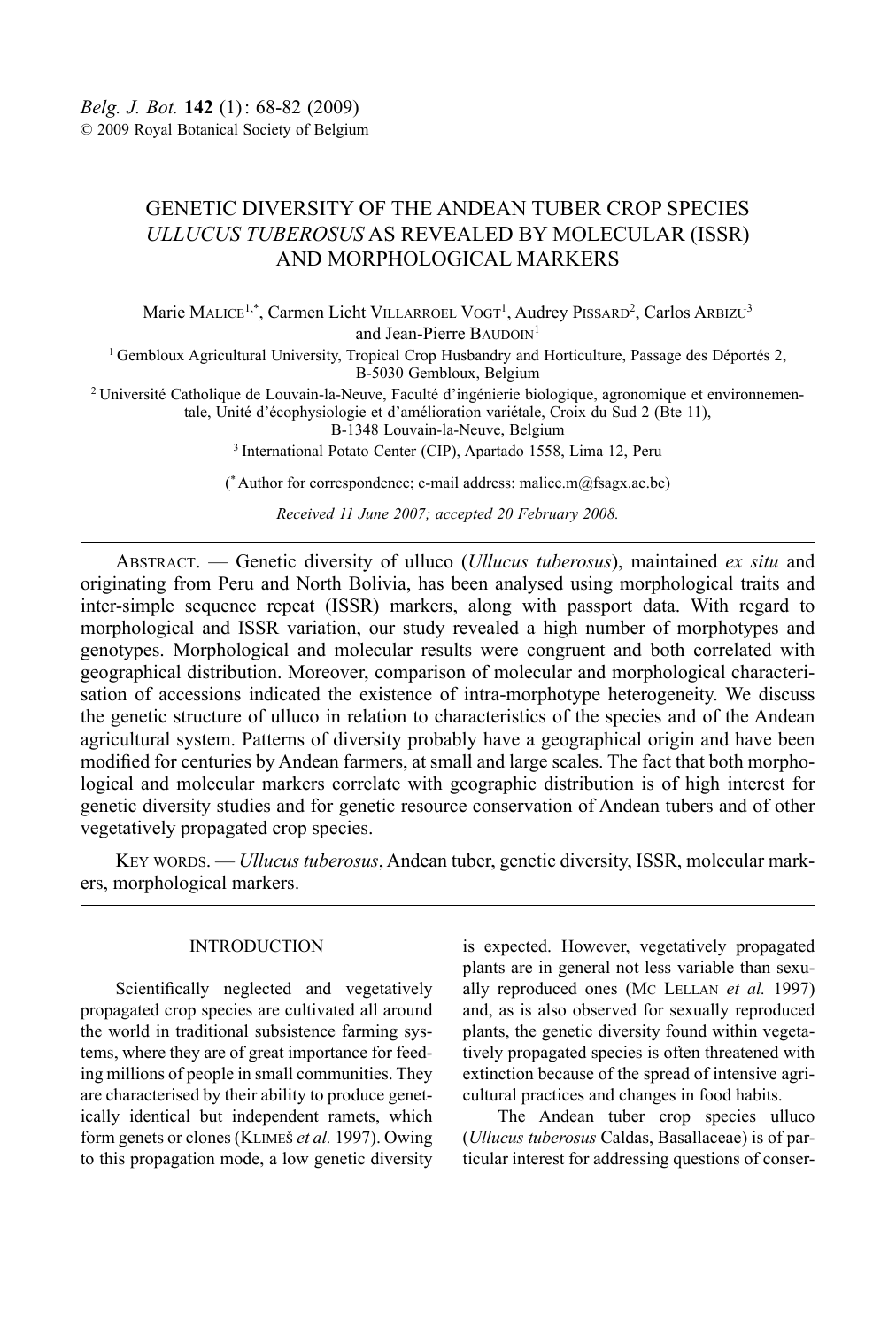# GENETIC DIVERSITY OF THE ANDEAN TUBER CROP SPECIES *ULLUCUS TUBEROSUS* AS REVEALED BY MOLECULAR (ISSR) AND MORPHOLOGICAL MARKERS

Marie MALICE<sup>1,\*</sup>, Carmen Licht VILLARROEL VOGT<sup>1</sup>, Audrey PISSARD<sup>2</sup>, Carlos ARBIZU<sup>3</sup> and Jean-Pierre BAUDOIN<sup>1</sup>

1 Gembloux Agricultural University, Tropical Crop Husbandry and Horticulture, Passage des Déportés 2, B-5030 Gembloux, Belgium

<sup>2</sup> Université Catholique de Louvain-la-Neuve, Faculté d'ingénierie biologique, agronomique et environnementale, Unité d'écophysiologie et d'amélioration variétale, Croix du Sud 2 (Bte 11),

B-1348 Louvain-la-Neuve, Belgium

3 International Potato Center (CIP), Apartado 1558, Lima 12, Peru

(\* Author for correspondence; e-mail address: malice.m $(a)$ fsagx.ac.be)

*Received 11 June 2007; accepted 20 February 2008.*

Abstract. — Genetic diversity of ulluco (*Ullucus tuberosus*), maintained *ex situ* and originating from Peru and North Bolivia, has been analysed using morphological traits and inter-simple sequence repeat (ISSR) markers, along with passport data. With regard to morphological and ISSR variation, our study revealed a high number of morphotypes and genotypes. Morphological and molecular results were congruent and both correlated with geographical distribution. Moreover, comparison of molecular and morphological characterisation of accessions indicated the existence of intra-morphotype heterogeneity. We discuss the genetic structure of ulluco in relation to characteristics of the species and of the Andean agricultural system. Patterns of diversity probably have a geographical origin and have been modified for centuries by Andean farmers, at small and large scales. The fact that both morphological and molecular markers correlate with geographic distribution is of high interest for genetic diversity studies and for genetic resource conservation of Andean tubers and of other vegetatively propagated crop species.

Key words. — *Ullucus tuberosus*, Andean tuber, genetic diversity, ISSR, molecular markers, morphological markers.

#### INTRODUCTION

Scientifically neglected and vegetatively propagated crop species are cultivated all around the world in traditional subsistence farming systems, where they are of great importance for feeding millions of people in small communities. They are characterised by their ability to produce genetically identical but independent ramets, which form genets or clones (Klimes *et al.* 1997). Owing to this propagation mode, a low genetic diversity

is expected. However, vegetatively propagated plants are in general not less variable than sexually reproduced ones (Mc LELLAN *et al.* 1997) and, as is also observed for sexually reproduced plants, the genetic diversity found within vegetatively propagated species is often threatened with extinction because of the spread of intensive agricultural practices and changes in food habits.

The Andean tuber crop species ulluco (*Ullucus tuberosus* Caldas, Basallaceae) is of particular interest for addressing questions of conser-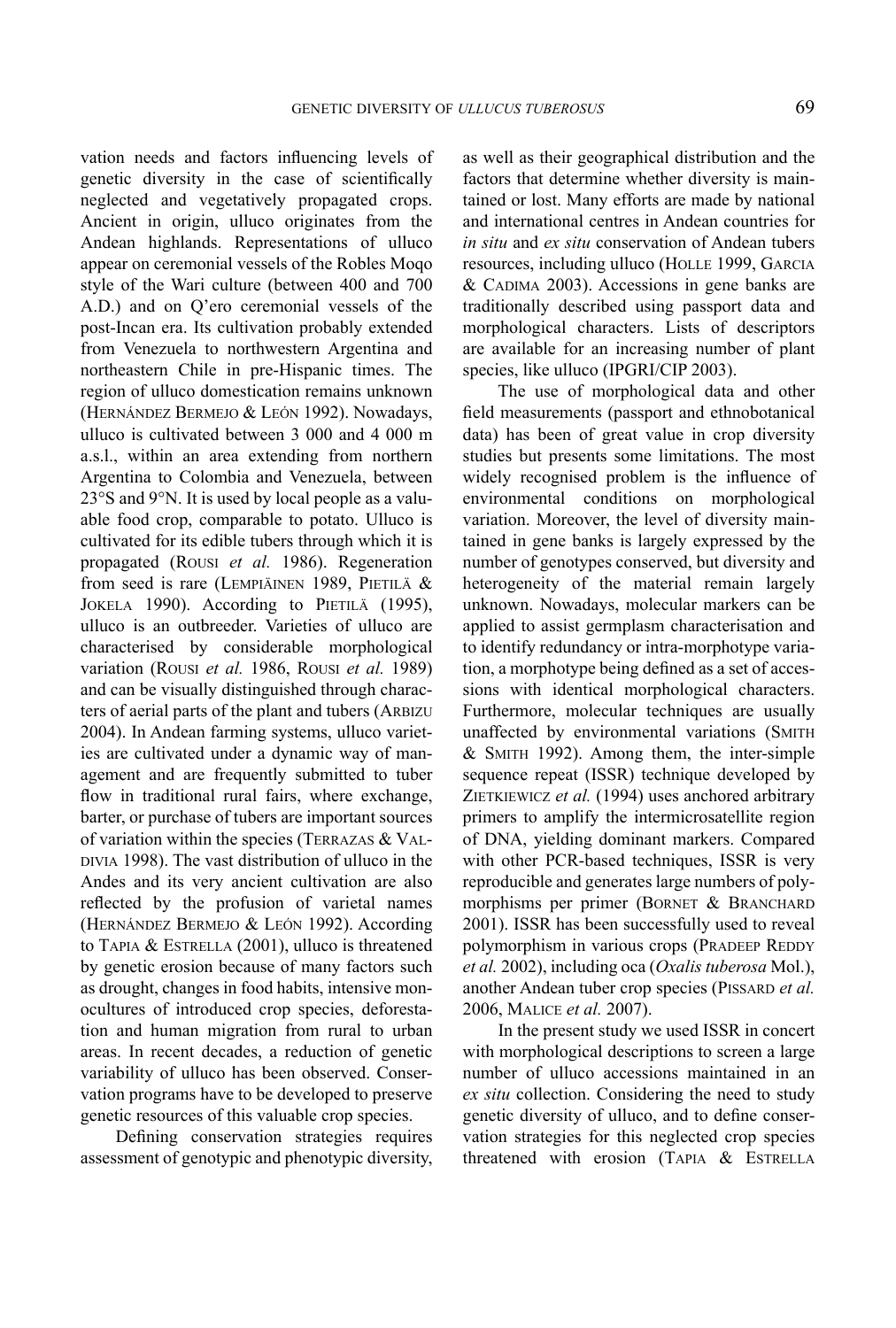vation needs and factors influencing levels of genetic diversity in the case of scientifically neglected and vegetatively propagated crops. Ancient in origin, ulluco originates from the Andean highlands. Representations of ulluco appear on ceremonial vessels of the Robles Moqo style of the Wari culture (between 400 and 700 A.D.) and on Q'ero ceremonial vessels of the post-Incan era. Its cultivation probably extended from Venezuela to northwestern Argentina and northeastern Chile in pre-Hispanic times. The region of ulluco domestication remains unknown (Hernández Bermejo & León 1992). Nowadays, ulluco is cultivated between 3 000 and 4 000 m a.s.l., within an area extending from northern Argentina to Colombia and Venezuela, between 23°S and 9°N. It is used by local people as a valuable food crop, comparable to potato. Ulluco is cultivated for its edible tubers through which it is propagated (Rousi *et al.* 1986). Regeneration from seed is rare (LEMPIÄINEN 1989, PIETILÄ  $&$ JOKELA 1990). According to PIETILÄ (1995), ulluco is an outbreeder. Varieties of ulluco are characterised by considerable morphological variation (Rousi *et al.* 1986, Rousi *et al.* 1989) and can be visually distinguished through characters of aerial parts of the plant and tubers (ARBIZU 2004). In Andean farming systems, ulluco varieties are cultivated under a dynamic way of management and are frequently submitted to tuber flow in traditional rural fairs, where exchange, barter, or purchase of tubers are important sources of variation within the species (Terrazas & Val-DIVIA 1998). The vast distribution of ulluco in the Andes and its very ancient cultivation are also reflected by the profusion of varietal names (Hernández Bermejo & León 1992). According to TAPIA & ESTRELLA (2001), ulluco is threatened by genetic erosion because of many factors such as drought, changes in food habits, intensive monocultures of introduced crop species, deforestation and human migration from rural to urban areas. In recent decades, a reduction of genetic variability of ulluco has been observed. Conservation programs have to be developed to preserve genetic resources of this valuable crop species.

Defining conservation strategies requires assessment of genotypic and phenotypic diversity, as well as their geographical distribution and the factors that determine whether diversity is maintained or lost. Many efforts are made by national and international centres in Andean countries for *in situ* and *ex situ* conservation of Andean tubers resources, including ulluco (HOLLE 1999, GARCIA & CADIMA 2003). Accessions in gene banks are traditionally described using passport data and morphological characters. Lists of descriptors are available for an increasing number of plant species, like ulluco (IPGRI/CIP 2003).

The use of morphological data and other field measurements (passport and ethnobotanical data) has been of great value in crop diversity studies but presents some limitations. The most widely recognised problem is the influence of environmental conditions on morphological variation. Moreover, the level of diversity maintained in gene banks is largely expressed by the number of genotypes conserved, but diversity and heterogeneity of the material remain largely unknown. Nowadays, molecular markers can be applied to assist germplasm characterisation and to identify redundancy or intra-morphotype variation, a morphotype being defined as a set of accessions with identical morphological characters. Furthermore, molecular techniques are usually unaffected by environmental variations (Smith & Smith 1992). Among them, the inter-simple sequence repeat (ISSR) technique developed by ZIETKIEWICZ et al. (1994) uses anchored arbitrary primers to amplify the intermicrosatellite region of DNA, yielding dominant markers. Compared with other PCR-based techniques, ISSR is very reproducible and generates large numbers of polymorphisms per primer (BORNET  $&$  BRANCHARD 2001). ISSR has been successfully used to reveal polymorphism in various crops (PRADEEP REDDY *et al.* 2002), including oca (*Oxalis tuberosa* Mol.), another Andean tuber crop species (PISSARD et al. 2006, Malice *et al.* 2007).

In the present study we used ISSR in concert with morphological descriptions to screen a large number of ulluco accessions maintained in an *ex situ* collection. Considering the need to study genetic diversity of ulluco, and to define conservation strategies for this neglected crop species threatened with erosion (TAPIA & ESTRELLA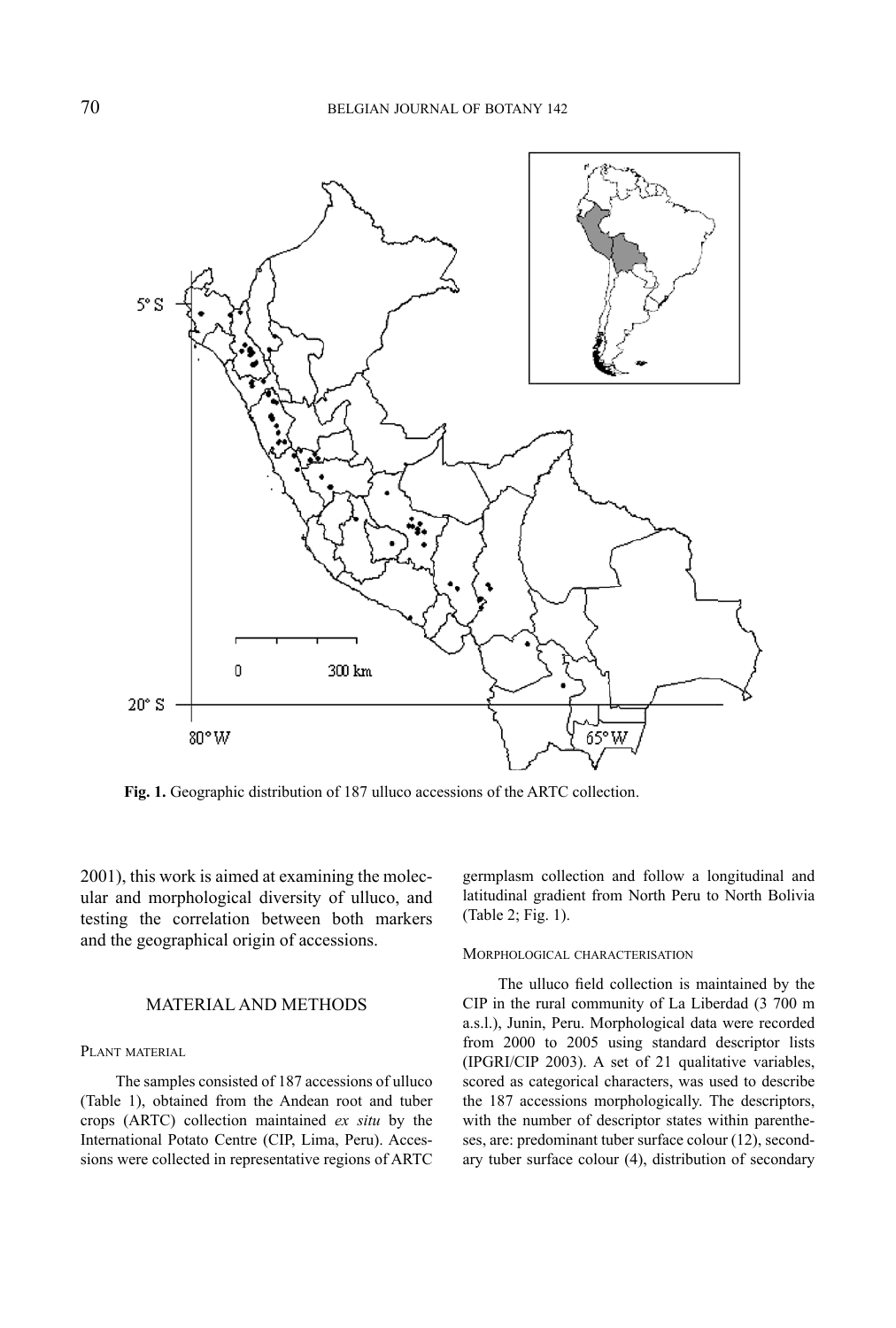

**Fig. 1.** Geographic distribution of 187 ulluco accessions of the ARTC collection.

2001), this work is aimed at examining the molecular and morphological diversity of ulluco, and testing the correlation between both markers and the geographical origin of accessions.

### MATERIAL AND METHODS

#### PLANT MATERIAL

The samples consisted of 187 accessions of ulluco (Table 1), obtained from the Andean root and tuber crops (ARTC) collection maintained *ex situ* by the International Potato Centre (CIP, Lima, Peru). Accessions were collected in representative regions of ARTC germplasm collection and follow a longitudinal and latitudinal gradient from North Peru to North Bolivia (Table 2; Fig. 1).

#### Morphological characterisation

The ulluco field collection is maintained by the CIP in the rural community of La Liberdad (3 700 m a.s.l.), Junin, Peru. Morphological data were recorded from 2000 to 2005 using standard descriptor lists (IPGRI/CIP 2003). A set of 21 qualitative variables, scored as categorical characters, was used to describe the 187 accessions morphologically. The descriptors, with the number of descriptor states within parentheses, are: predominant tuber surface colour (12), secondary tuber surface colour (4), distribution of secondary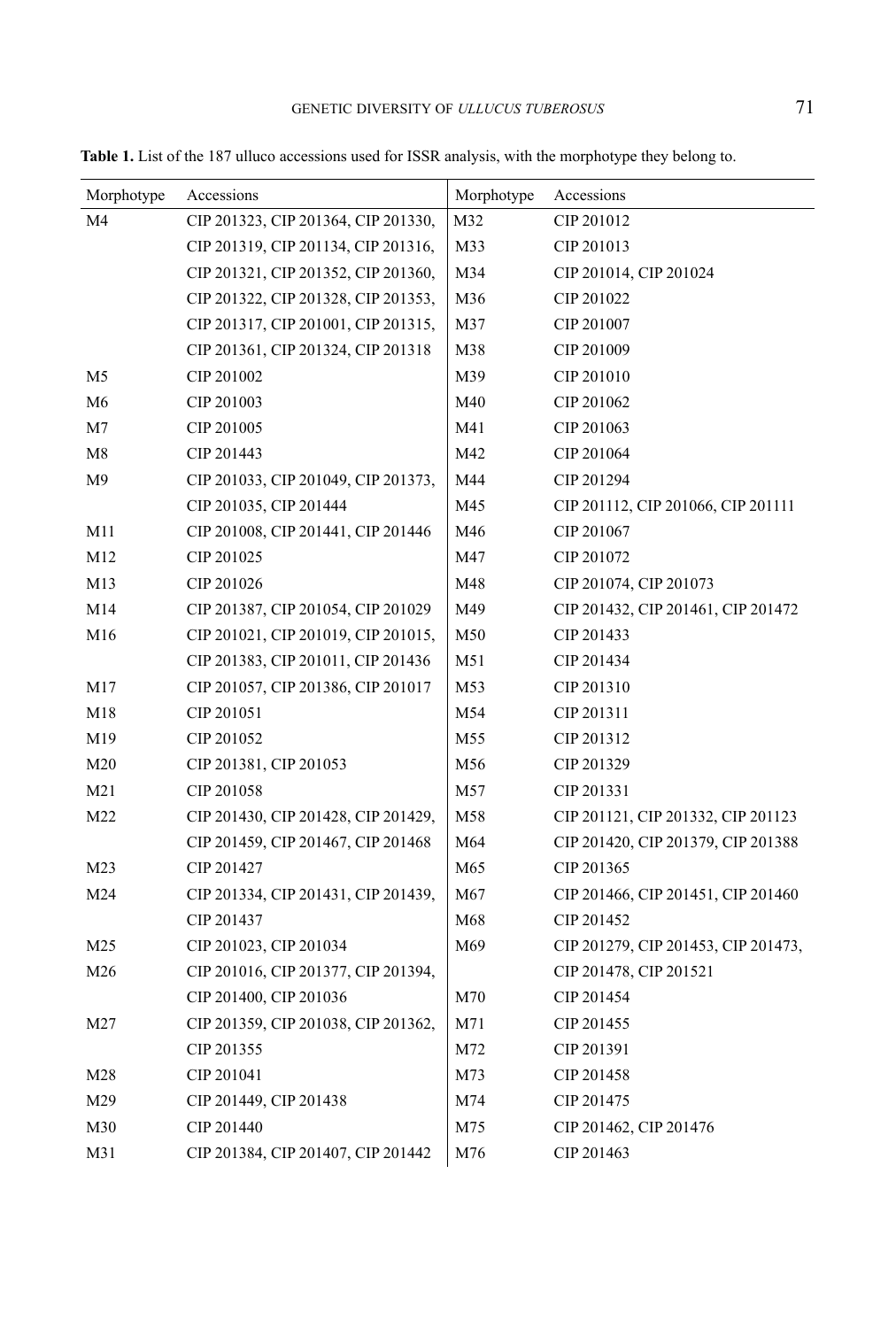| Morphotype      | Accessions                          | Morphotype | Accessions                          |
|-----------------|-------------------------------------|------------|-------------------------------------|
| M <sub>4</sub>  | CIP 201323, CIP 201364, CIP 201330, | M32        | CIP 201012                          |
|                 | CIP 201319, CIP 201134, CIP 201316, | M33        | CIP 201013                          |
|                 | CIP 201321, CIP 201352, CIP 201360, | M34        | CIP 201014, CIP 201024              |
|                 | CIP 201322, CIP 201328, CIP 201353, | M36        | CIP 201022                          |
|                 | CIP 201317, CIP 201001, CIP 201315, | M37        | CIP 201007                          |
|                 | CIP 201361, CIP 201324, CIP 201318  | M38        | CIP 201009                          |
| M <sub>5</sub>  | CIP 201002                          | M39        | CIP 201010                          |
| M <sub>6</sub>  | CIP 201003                          | M40        | CIP 201062                          |
| M <sub>7</sub>  | CIP 201005                          | M41        | CIP 201063                          |
| M8              | CIP 201443                          | M42        | CIP 201064                          |
| M <sup>9</sup>  | CIP 201033, CIP 201049, CIP 201373, | M44        | CIP 201294                          |
|                 | CIP 201035, CIP 201444              | M45        | CIP 201112, CIP 201066, CIP 201111  |
| M11             | CIP 201008, CIP 201441, CIP 201446  | M46        | CIP 201067                          |
| M12             | CIP 201025                          | M47        | CIP 201072                          |
| M13             | CIP 201026                          | M48        | CIP 201074, CIP 201073              |
| M14             | CIP 201387, CIP 201054, CIP 201029  | M49        | CIP 201432, CIP 201461, CIP 201472  |
| M16             | CIP 201021, CIP 201019, CIP 201015, | M50        | CIP 201433                          |
|                 | CIP 201383, CIP 201011, CIP 201436  | M51        | CIP 201434                          |
| M17             | CIP 201057, CIP 201386, CIP 201017  | M53        | CIP 201310                          |
| M18             | CIP 201051                          | M54        | CIP 201311                          |
| M19             | CIP 201052                          | M55        | CIP 201312                          |
| M <sub>20</sub> | CIP 201381, CIP 201053              | M56        | CIP 201329                          |
| M <sub>21</sub> | CIP 201058                          | M57        | CIP 201331                          |
| M22             | CIP 201430, CIP 201428, CIP 201429, | M58        | CIP 201121, CIP 201332, CIP 201123  |
|                 | CIP 201459, CIP 201467, CIP 201468  | M64        | CIP 201420, CIP 201379, CIP 201388  |
| M <sub>23</sub> | CIP 201427                          | M65        | CIP 201365                          |
| M24             | CIP 201334, CIP 201431, CIP 201439, | M67        | CIP 201466, CIP 201451, CIP 201460  |
|                 | CIP 201437                          | M68        | CIP 201452                          |
| M <sub>25</sub> | CIP 201023, CIP 201034              | M69        | CIP 201279, CIP 201453, CIP 201473, |
| M26             | CIP 201016, CIP 201377, CIP 201394, |            | CIP 201478, CIP 201521              |
|                 | CIP 201400, CIP 201036              | M70        | CIP 201454                          |
| M27             | CIP 201359, CIP 201038, CIP 201362, | M71        | CIP 201455                          |
|                 | CIP 201355                          | M72        | CIP 201391                          |
| M28             | CIP 201041                          | M73        | CIP 201458                          |
| M29             | CIP 201449, CIP 201438              | M74        | CIP 201475                          |
| M30             | CIP 201440                          | M75        | CIP 201462, CIP 201476              |
| M31             | CIP 201384, CIP 201407, CIP 201442  | M76        | CIP 201463                          |

**Table 1.** List of the 187 ulluco accessions used for ISSR analysis, with the morphotype they belong to.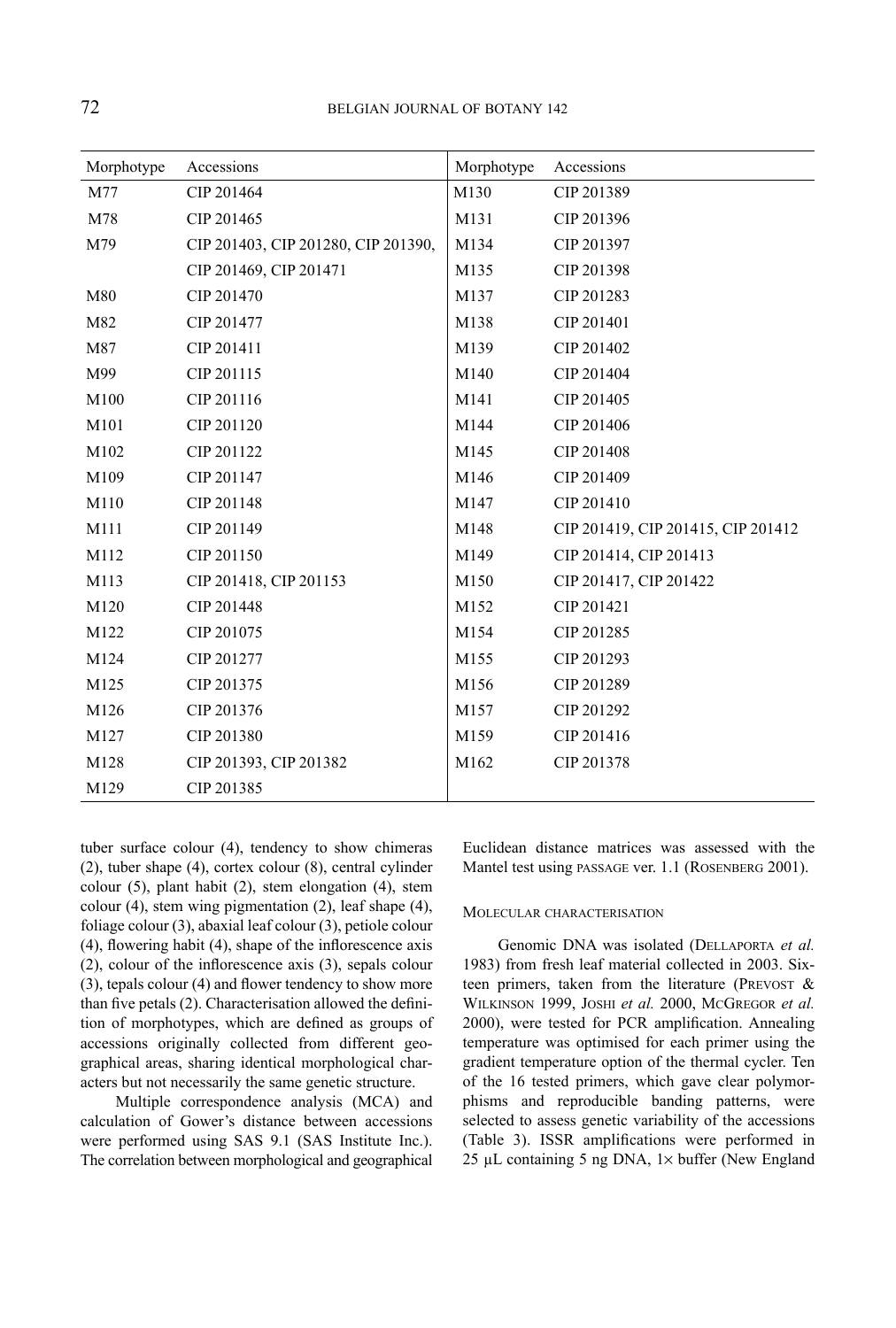| Morphotype | Accessions                          | Morphotype | Accessions                         |
|------------|-------------------------------------|------------|------------------------------------|
| M77        | CIP 201464                          | M130       | CIP 201389                         |
| M78        | CIP 201465                          | M131       | CIP 201396                         |
| M79        | CIP 201403, CIP 201280, CIP 201390, | M134       | CIP 201397                         |
|            | CIP 201469, CIP 201471              | M135       | CIP 201398                         |
| M80        | CIP 201470                          | M137       | CIP 201283                         |
| M82        | CIP 201477                          | M138       | CIP 201401                         |
| M87        | CIP 201411                          | M139       | CIP 201402                         |
| M99        | CIP 201115                          | M140       | CIP 201404                         |
| M100       | CIP 201116                          | M141       | CIP 201405                         |
| M101       | CIP 201120                          | M144       | CIP 201406                         |
| M102       | CIP 201122                          | M145       | CIP 201408                         |
| M109       | CIP 201147                          | M146       | CIP 201409                         |
| M110       | CIP 201148                          | M147       | CIP 201410                         |
| M111       | CIP 201149                          | M148       | CIP 201419, CIP 201415, CIP 201412 |
| M112       | CIP 201150                          | M149       | CIP 201414, CIP 201413             |
| M113       | CIP 201418, CIP 201153              | M150       | CIP 201417, CIP 201422             |
| M120       | CIP 201448                          | M152       | CIP 201421                         |
| M122       | CIP 201075                          | M154       | CIP 201285                         |
| M124       | CIP 201277                          | M155       | CIP 201293                         |
| M125       | CIP 201375                          | M156       | CIP 201289                         |
| M126       | CIP 201376                          | M157       | CIP 201292                         |
| M127       | CIP 201380                          | M159       | CIP 201416                         |
| M128       | CIP 201393, CIP 201382              | M162       | CIP 201378                         |
| M129       | CIP 201385                          |            |                                    |

tuber surface colour (4), tendency to show chimeras (2), tuber shape (4), cortex colour (8), central cylinder colour (5), plant habit (2), stem elongation (4), stem colour (4), stem wing pigmentation (2), leaf shape (4), foliage colour (3), abaxial leaf colour (3), petiole colour (4), flowering habit (4), shape of the inflorescence axis (2), colour of the inflorescence axis (3), sepals colour (3), tepals colour (4) and flower tendency to show more than five petals (2). Characterisation allowed the definition of morphotypes, which are defined as groups of accessions originally collected from different geographical areas, sharing identical morphological characters but not necessarily the same genetic structure.

Multiple correspondence analysis (MCA) and calculation of Gower's distance between accessions were performed using SAS 9.1 (SAS Institute Inc.). The correlation between morphological and geographical Euclidean distance matrices was assessed with the Mantel test using passage ver. 1.1 (ROSENBERG 2001).

#### Molecular characterisation

Genomic DNA was isolated (Dellaporta *et al.* 1983) from fresh leaf material collected in 2003. Sixteen primers, taken from the literature (PREVOST  $\&$ Wilkinson 1999, Joshi *et al.* 2000, McGregor *et al.* 2000), were tested for PCR amplification. Annealing temperature was optimised for each primer using the gradient temperature option of the thermal cycler. Ten of the 16 tested primers, which gave clear polymorphisms and reproducible banding patterns, were selected to assess genetic variability of the accessions (Table 3). ISSR amplifications were performed in 25 µL containing 5 ng DNA,  $1 \times$  buffer (New England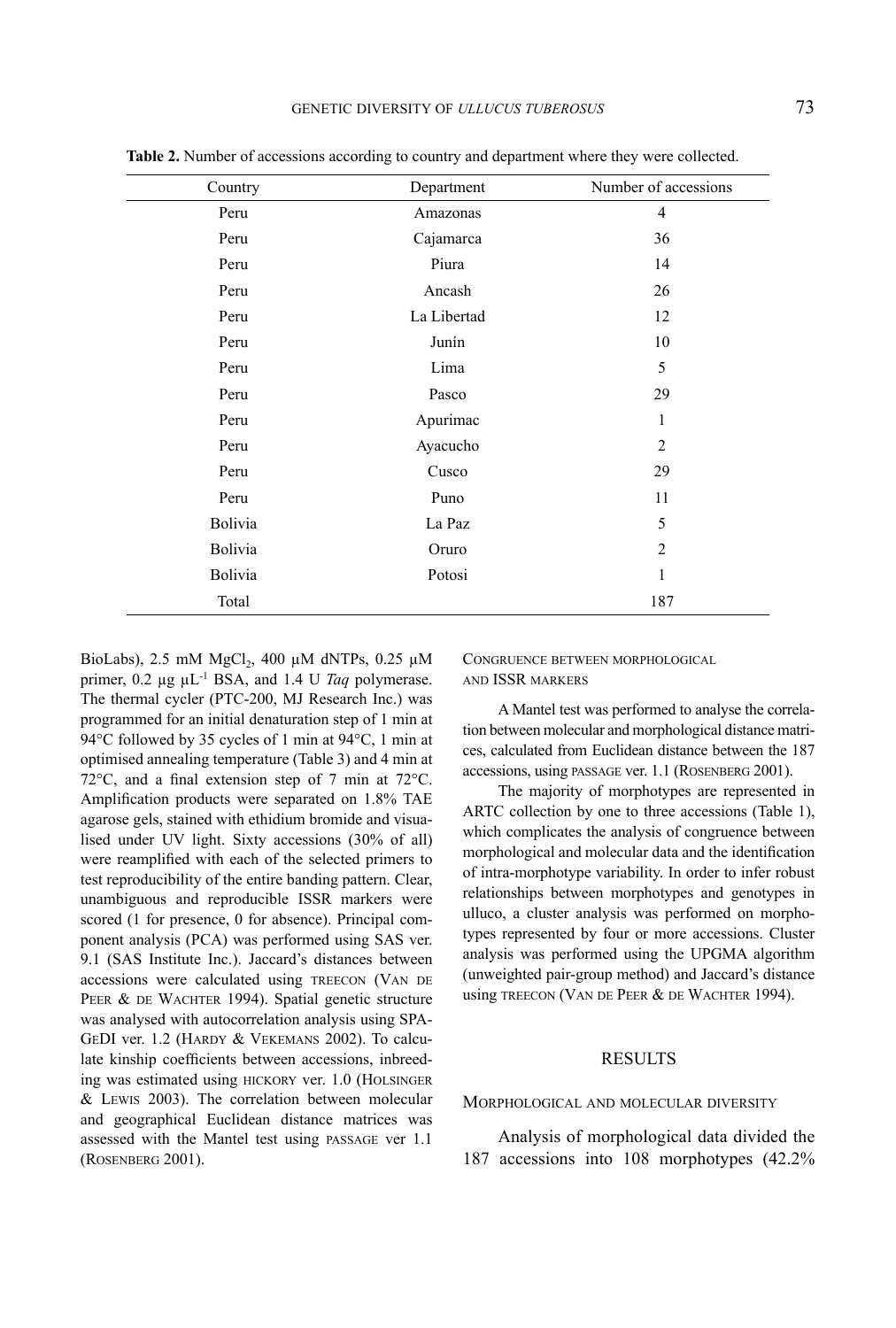| where they were collected. |
|----------------------------|
| Number of accessions       |
|                            |
| 36                         |

**Table 2.** Number of accessions according to country and department **w** 

Country Department Peru Amazonas Peru Cajamarca Peru Piura Piura 14 Peru Ancash 26 Peru La Libertad 12 Peru Junín Junín 10 Peru 1988 Lima 2008 Lima Peru Pasco 29 Peru Apurimac 1 Peru Ayacucho 2 Peru Cusco 29 Peru Puno Puno 11 Bolivia 5 Bolivia Oruro 2 Bolivia Potosi 1 Total 187

BioLabs), 2.5 mM MgCl<sub>2</sub>, 400  $\mu$ M dNTPs, 0.25  $\mu$ M primer,  $0.2 \mu g \mu L^{-1}$  BSA, and 1.4 U *Taq* polymerase. The thermal cycler (PTC-200, MJ Research Inc.) was programmed for an initial denaturation step of 1 min at 94°C followed by 35 cycles of 1 min at 94°C, 1 min at optimised annealing temperature (Table 3) and 4 min at 72°C, and a final extension step of 7 min at 72°C. Amplification products were separated on 1.8% TAE agarose gels, stained with ethidium bromide and visualised under UV light. Sixty accessions (30% of all) were reamplified with each of the selected primers to test reproducibility of the entire banding pattern. Clear, unambiguous and reproducible ISSR markers were scored (1 for presence, 0 for absence). Principal component analysis (PCA) was performed using SAS ver. 9.1 (SAS Institute Inc.). Jaccard's distances between accessions were calculated using TREECON (VAN DE PEER & DE WACHTER 1994). Spatial genetic structure was analysed with autocorrelation analysis using SPA-GEDI ver. 1.2 (HARDY & VEKEMANS 2002). To calculate kinship coefficients between accessions, inbreeding was estimated using hickory ver. 1.0 (Holsinger & Lewis 2003). The correlation between molecular and geographical Euclidean distance matrices was assessed with the Mantel test using passage ver 1.1 (Rosenberg 2001).

CONGRUENCE BETWEEN MORPHOLOGICAL and ISSR markers

A Mantel test was performed to analyse the correlation between molecular and morphological distance matrices, calculated from Euclidean distance between the 187 accessions, using passage ver. 1.1 (Rosenberg 2001).

The majority of morphotypes are represented in ARTC collection by one to three accessions (Table 1), which complicates the analysis of congruence between morphological and molecular data and the identification of intra-morphotype variability. In order to infer robust relationships between morphotypes and genotypes in ulluco, a cluster analysis was performed on morphotypes represented by four or more accessions. Cluster analysis was performed using the UPGMA algorithm (unweighted pair-group method) and Jaccard's distance using TREECON (VAN DE PEER & DE WACHTER 1994).

#### RESULTS

Morphological and molecular diversity

Analysis of morphological data divided the 187 accessions into 108 morphotypes (42.2%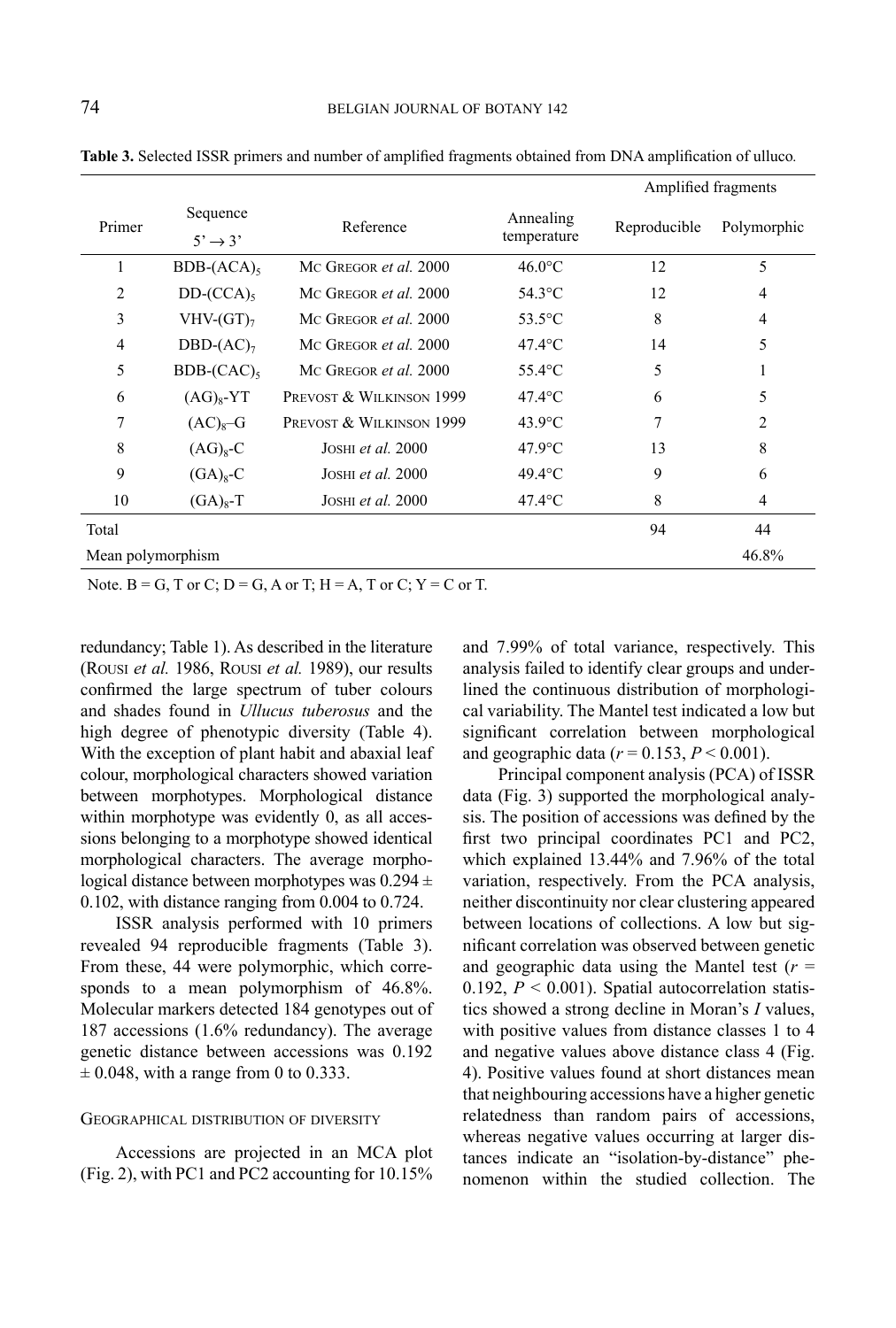|                   |                              |                              |                          | Amplified fragments |                |  |  |  |
|-------------------|------------------------------|------------------------------|--------------------------|---------------------|----------------|--|--|--|
| Primer            | Sequence                     | Reference                    | Annealing<br>temperature | Reproducible        | Polymorphic    |  |  |  |
|                   | $5' \rightarrow 3'$          |                              |                          |                     |                |  |  |  |
| 1                 | $BDB-(ACA)_{5}$              | MC GREGOR et al. 2000        | $46.0$ °C                | 12                  | 5              |  |  |  |
| $\overline{2}$    | $DD$ - $(CCA)$ <sub>5</sub>  | MC GREGOR <i>et al.</i> 2000 | $54.3^{\circ}$ C         | 12                  | $\overline{4}$ |  |  |  |
| 3                 | $VHV-GT2$                    | MC GREGOR et al. 2000        | $53.5^{\circ}$ C         | 8                   | $\overline{4}$ |  |  |  |
| $\overline{4}$    | DBD- $(AC)_{7}$              | MC GREGOR <i>et al.</i> 2000 | $47.4$ °C                | 14                  | 5              |  |  |  |
| 5                 | $BDB$ - $(CAC)$ <sub>5</sub> | MC GREGOR <i>et al.</i> 2000 | $55.4$ °C                | 5                   |                |  |  |  |
| 6                 | $(AG)_{8}$ -YT               | PREVOST & WILKINSON 1999     | $47.4$ °C                | 6                   | 5              |  |  |  |
| 7                 | $(AC)8-G$                    | PREVOST & WILKINSON 1999     | $43.9$ °C                | 7                   | $\overline{2}$ |  |  |  |
| 8                 | $(AG)8-C$                    | JOSHI <i>et al.</i> 2000     | $47.9$ °C                | 13                  | 8              |  |  |  |
| 9                 | $(GA)8-C$                    | JOSHI <i>et al.</i> 2000     | $49.4$ °C                | 9                   | 6              |  |  |  |
| 10                | $(GA)8-T$                    | JOSHI <i>et al.</i> 2000     | $47.4$ °C                | 8                   | 4              |  |  |  |
| Total             |                              |                              |                          | 94                  | 44             |  |  |  |
| Mean polymorphism |                              |                              |                          |                     |                |  |  |  |

**Table 3.** Selected ISSR primers and number of amplified fragments obtained from DNA amplification of ulluco*.*

Note.  $B = G$ , T or C;  $D = G$ , A or T;  $H = A$ , T or C;  $Y = C$  or T.

redundancy; Table 1). As described in the literature (Rousi *et al.* 1986, Rousi *et al.* 1989), our results confirmed the large spectrum of tuber colours and shades found in *Ullucus tuberosus* and the high degree of phenotypic diversity (Table 4). With the exception of plant habit and abaxial leaf colour, morphological characters showed variation between morphotypes. Morphological distance within morphotype was evidently 0, as all accessions belonging to a morphotype showed identical morphological characters. The average morphological distance between morphotypes was  $0.294 \pm$ 0.102, with distance ranging from 0.004 to 0.724.

ISSR analysis performed with 10 primers revealed 94 reproducible fragments (Table 3). From these, 44 were polymorphic, which corresponds to a mean polymorphism of 46.8%. Molecular markers detected 184 genotypes out of 187 accessions (1.6% redundancy). The average genetic distance between accessions was 0.192  $\pm$  0.048, with a range from 0 to 0.333.

#### Geographical distribution of diversity

Accessions are projected in an MCA plot (Fig. 2), with PC1 and PC2 accounting for 10.15% and 7.99% of total variance, respectively. This analysis failed to identify clear groups and underlined the continuous distribution of morphological variability. The Mantel test indicated a low but significant correlation between morphological and geographic data ( $r = 0.153$ ,  $P < 0.001$ ).

Principal component analysis (PCA) of ISSR data (Fig. 3) supported the morphological analysis. The position of accessions was defined by the first two principal coordinates PC1 and PC2, which explained 13.44% and 7.96% of the total variation, respectively. From the PCA analysis, neither discontinuity nor clear clustering appeared between locations of collections. A low but significant correlation was observed between genetic and geographic data using the Mantel test  $(r =$ 0.192,  $P < 0.001$ ). Spatial autocorrelation statistics showed a strong decline in Moran's *I* values, with positive values from distance classes 1 to 4 and negative values above distance class 4 (Fig. 4). Positive values found at short distances mean that neighbouring accessions have a higher genetic relatedness than random pairs of accessions, whereas negative values occurring at larger distances indicate an "isolation-by-distance" phenomenon within the studied collection. The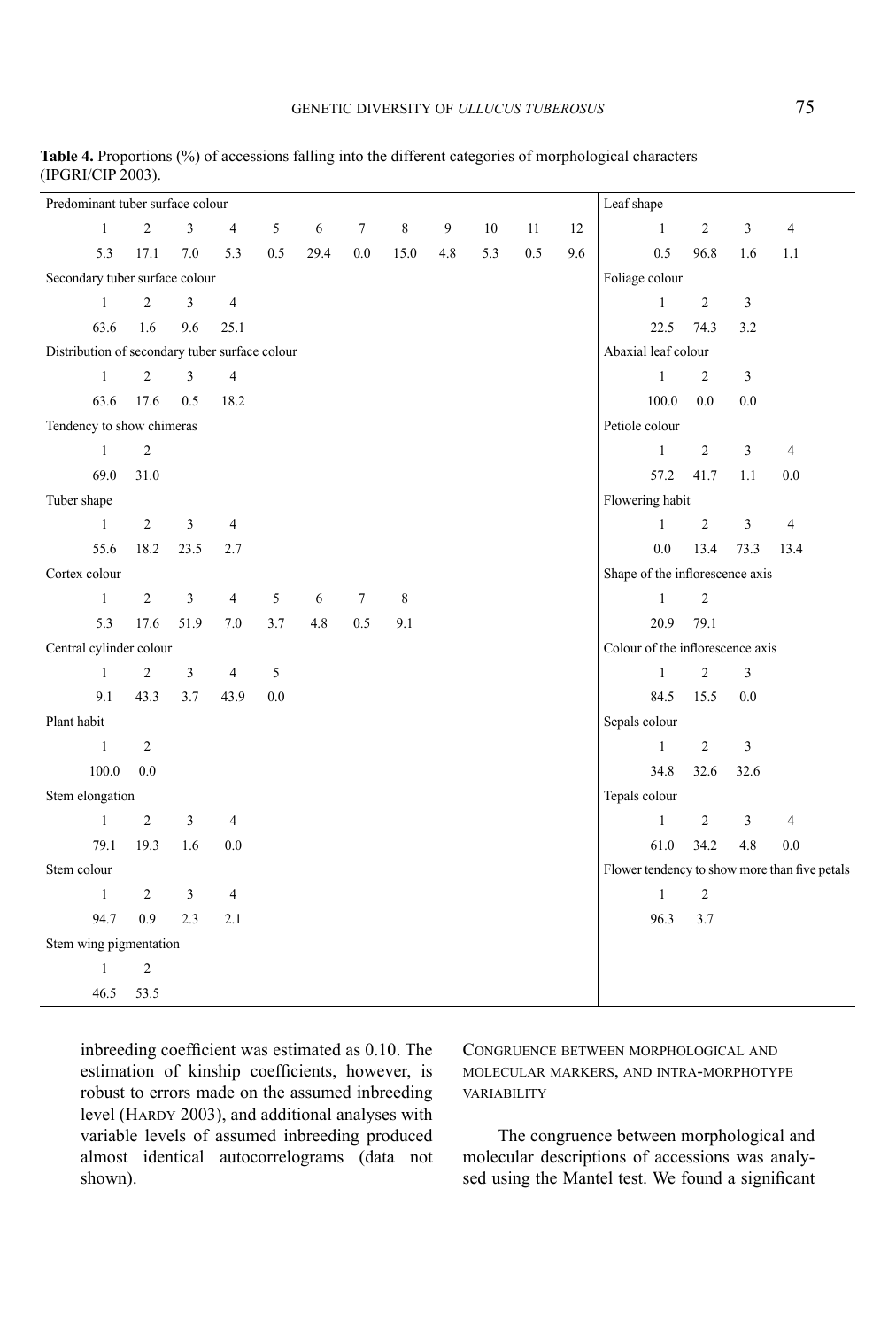| Predominant tuber surface colour               |                |               |                |     |      |        |                |     |        |     |     | Leaf shape                                    |                |                |                |
|------------------------------------------------|----------------|---------------|----------------|-----|------|--------|----------------|-----|--------|-----|-----|-----------------------------------------------|----------------|----------------|----------------|
| $\mathbf{1}$                                   | $\overline{c}$ | 3             | $\overline{4}$ | 5   | 6    | $\tau$ | 8              | 9   | $10\,$ | 11  | 12  | $\mathbf{1}$                                  | $\overline{2}$ | 3              | $\overline{4}$ |
| 5.3                                            | 17.1           | 7.0           | 5.3            | 0.5 | 29.4 | 0.0    | 15.0           | 4.8 | 5.3    | 0.5 | 9.6 | 0.5                                           | 96.8           | 1.6            | 1.1            |
| Secondary tuber surface colour                 |                |               |                |     |      |        | Foliage colour |     |        |     |     |                                               |                |                |                |
| $\mathbf{1}$                                   | $\overline{2}$ | 3             | $\overline{4}$ |     |      |        |                |     |        |     |     | $\mathbf{1}$                                  | $\overline{2}$ | 3              |                |
| 63.6                                           | 1.6            | 9.6           | 25.1           |     |      |        |                |     |        |     |     | 22.5                                          | 74.3           | 3.2            |                |
| Distribution of secondary tuber surface colour |                |               |                |     |      |        |                |     |        |     |     | Abaxial leaf colour                           |                |                |                |
| $\mathbf{1}$                                   | $\overline{2}$ | 3             | $\overline{4}$ |     |      |        |                |     |        |     |     | $\mathbf{1}$                                  | $\overline{2}$ | $\mathfrak z$  |                |
| 63.6                                           | 17.6           | 0.5           | 18.2           |     |      |        |                |     |        |     |     | 100.0                                         | 0.0            | 0.0            |                |
| Tendency to show chimeras                      |                |               |                |     |      |        |                |     |        |     |     | Petiole colour                                |                |                |                |
| $\mathbf{1}$                                   | $\overline{2}$ |               |                |     |      |        |                |     |        |     |     | $\mathbf{1}$                                  | $\overline{2}$ | 3              | $\overline{4}$ |
| 69.0                                           | 31.0           |               |                |     |      |        |                |     |        |     |     | 57.2                                          | 41.7           | 1.1            | 0.0            |
| Tuber shape                                    |                |               |                |     |      |        |                |     |        |     |     | Flowering habit                               |                |                |                |
| $\mathbf{1}$                                   | $\overline{2}$ | 3             | $\overline{4}$ |     |      |        |                |     |        |     |     | $\mathbf{1}$                                  | $\overline{2}$ | $\mathfrak{Z}$ | $\overline{4}$ |
| 55.6                                           | 18.2           | 23.5          | 2.7            |     |      |        |                |     |        |     |     | 0.0                                           | 13.4           | 73.3           | 13.4           |
| Cortex colour                                  |                |               |                |     |      |        |                |     |        |     |     | Shape of the inflorescence axis               |                |                |                |
| $\mathbf{1}$                                   | $\overline{c}$ | $\mathfrak z$ | $\overline{4}$ | 5   | 6    | $\tau$ | 8              |     |        |     |     | $\mathbf{1}$                                  | $\overline{2}$ |                |                |
| 5.3                                            | 17.6           | 51.9          | $7.0\,$        | 3.7 | 4.8  | 0.5    | 9.1            |     |        |     |     | 20.9                                          | 79.1           |                |                |
| Central cylinder colour                        |                |               |                |     |      |        |                |     |        |     |     | Colour of the inflorescence axis              |                |                |                |
| $\mathbf{1}$                                   | $\overline{2}$ | 3             | $\overline{4}$ | 5   |      |        |                |     |        |     |     | $\mathbf{1}$                                  | $\overline{c}$ | 3              |                |
| 9.1                                            | 43.3           | 3.7           | 43.9           | 0.0 |      |        |                |     |        |     |     | 84.5                                          | 15.5           | 0.0            |                |
| Plant habit                                    |                |               |                |     |      |        |                |     |        |     |     | Sepals colour                                 |                |                |                |
| $\mathbf{1}$                                   | $\overline{2}$ |               |                |     |      |        |                |     |        |     |     | $\mathbf{1}$                                  | $\overline{2}$ | 3              |                |
| 100.0                                          | 0.0            |               |                |     |      |        |                |     |        |     |     | 34.8                                          | 32.6           | 32.6           |                |
| Stem elongation                                |                |               |                |     |      |        |                |     |        |     |     | Tepals colour                                 |                |                |                |
| $\mathbf{1}$                                   | $\overline{c}$ | 3             | 4              |     |      |        |                |     |        |     |     | $\mathbf{1}$                                  | $\overline{c}$ | 3              | $\overline{4}$ |
| 79.1                                           | 19.3           | 1.6           | $0.0\,$        |     |      |        |                |     |        |     |     | 61.0                                          | 34.2           | 4.8            | 0.0            |
| Stem colour                                    |                |               |                |     |      |        |                |     |        |     |     | Flower tendency to show more than five petals |                |                |                |
| $\mathbf{1}$                                   | $\overline{2}$ | 3             | 4              |     |      |        |                |     |        |     |     | $\mathbf{1}$                                  | 2              |                |                |
| 94.7                                           | 0.9            | 2.3           | 2.1            |     |      |        |                |     |        |     |     | 96.3                                          | 3.7            |                |                |
| Stem wing pigmentation                         |                |               |                |     |      |        |                |     |        |     |     |                                               |                |                |                |
| $1\,$                                          | $\overline{2}$ |               |                |     |      |        |                |     |        |     |     |                                               |                |                |                |
| 46.5                                           | 53.5           |               |                |     |      |        |                |     |        |     |     |                                               |                |                |                |

**Table 4.** Proportions (%) of accessions falling into the different categories of morphological characters (IPGRI/CIP 2003).

inbreeding coefficient was estimated as 0.10. The estimation of kinship coefficients, however, is robust to errors made on the assumed inbreeding level (HARDY 2003), and additional analyses with variable levels of assumed inbreeding produced almost identical autocorrelograms (data not shown).

## Congruence between morphological and molecular markers, and intra-morphotype **VARIABILITY**

The congruence between morphological and molecular descriptions of accessions was analysed using the Mantel test. We found a significant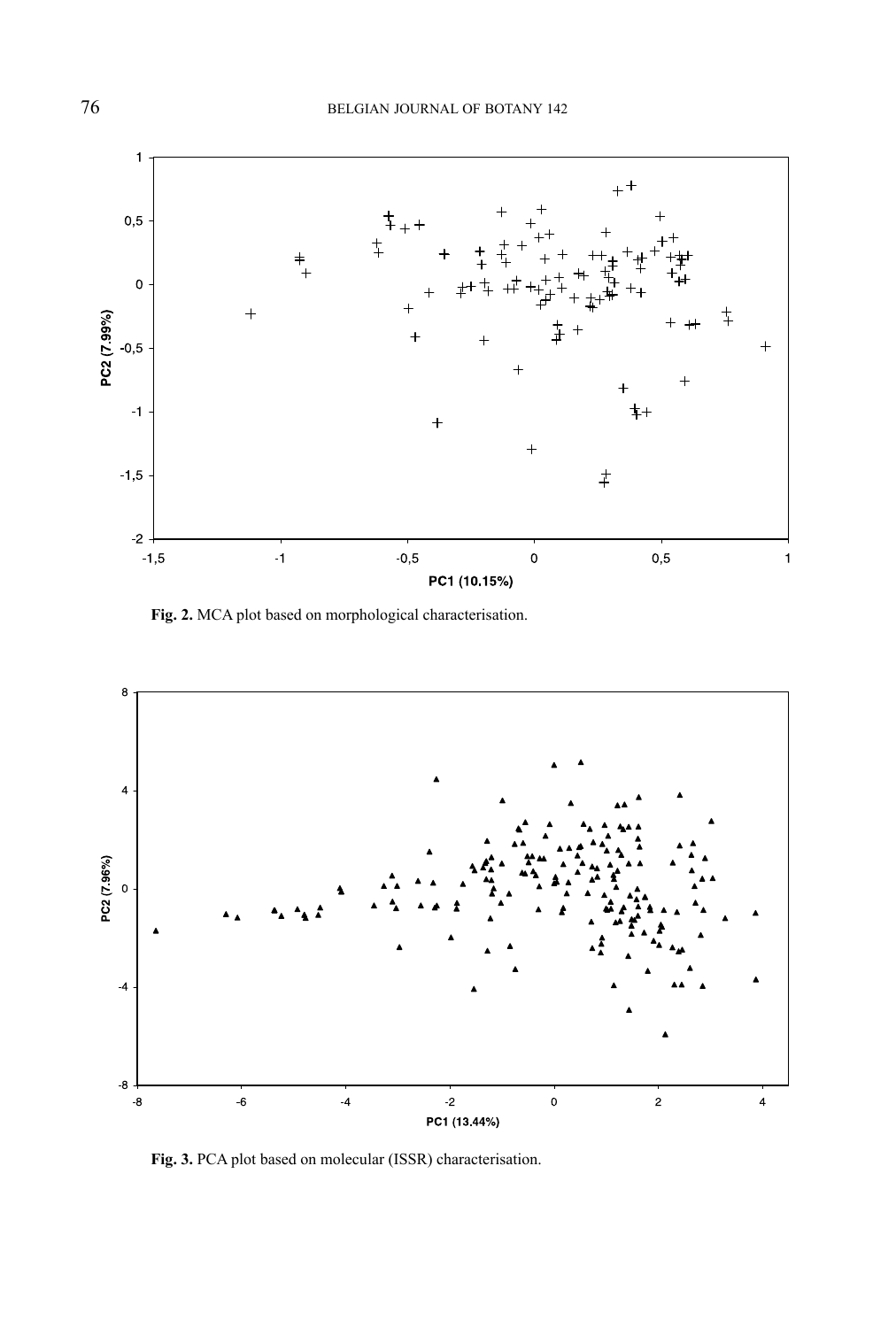

**Fig. 2.** MCA plot based on morphological characterisation.



**Fig. 3.** PCA plot based on molecular (ISSR) characterisation.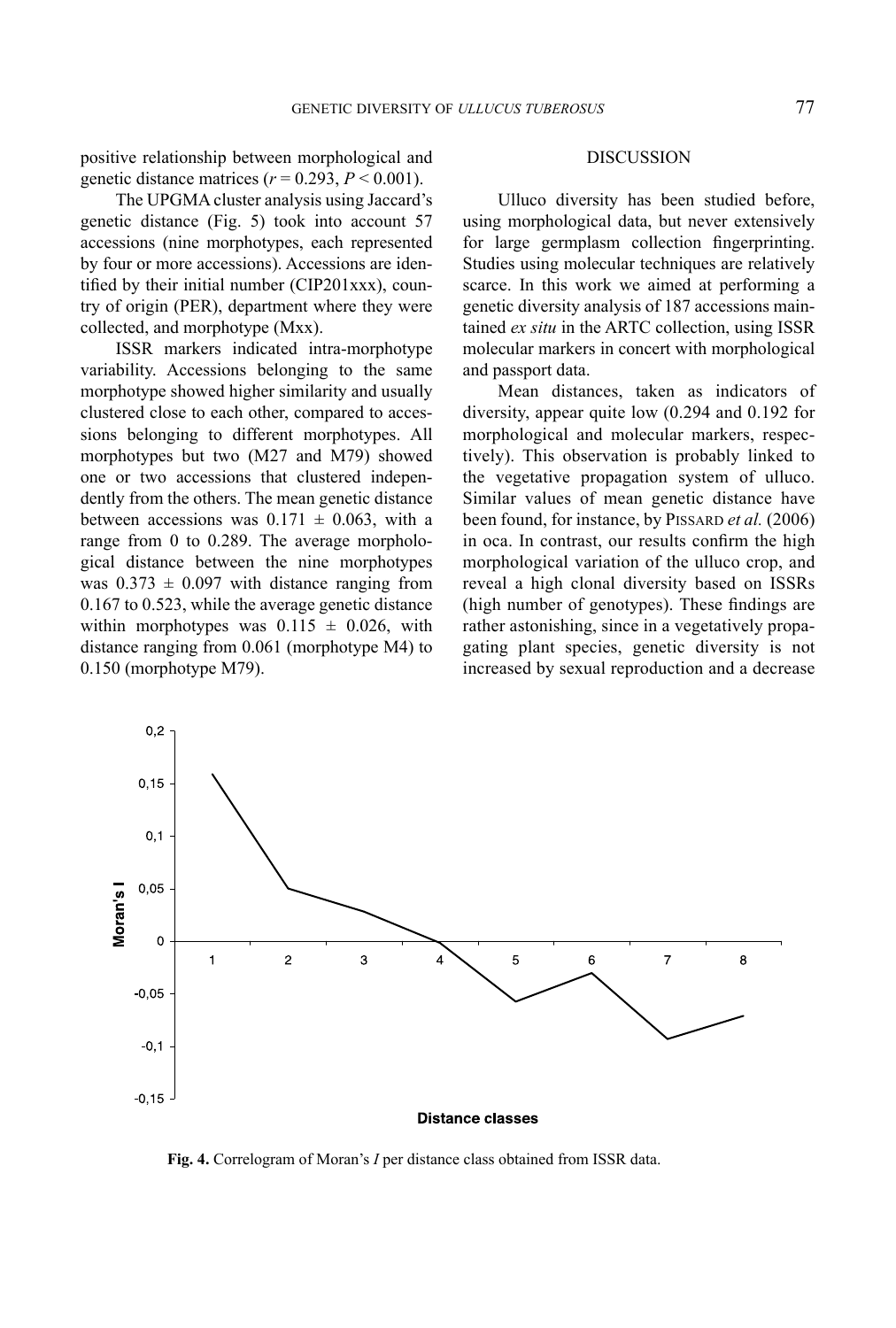positive relationship between morphological and genetic distance matrices  $(r = 0.293, P \le 0.001)$ .

The UPGMA cluster analysis using Jaccard's genetic distance (Fig. 5) took into account 57 accessions (nine morphotypes, each represented by four or more accessions). Accessions are identified by their initial number (CIP201xxx), country of origin (PER), department where they were collected, and morphotype (Mxx).

ISSR markers indicated intra-morphotype variability. Accessions belonging to the same morphotype showed higher similarity and usually clustered close to each other, compared to accessions belonging to different morphotypes. All morphotypes but two (M27 and M79) showed one or two accessions that clustered independently from the others. The mean genetic distance between accessions was  $0.171 \pm 0.063$ , with a range from 0 to 0.289. The average morphological distance between the nine morphotypes was  $0.373 \pm 0.097$  with distance ranging from 0.167 to 0.523, while the average genetic distance within morphotypes was  $0.115 \pm 0.026$ , with distance ranging from 0.061 (morphotype M4) to 0.150 (morphotype M79).

#### DISCUSSION

Ulluco diversity has been studied before, using morphological data, but never extensively for large germplasm collection fingerprinting. Studies using molecular techniques are relatively scarce. In this work we aimed at performing a genetic diversity analysis of 187 accessions maintained *ex situ* in the ARTC collection, using ISSR molecular markers in concert with morphological and passport data.

Mean distances, taken as indicators of diversity, appear quite low (0.294 and 0.192 for morphological and molecular markers, respectively). This observation is probably linked to the vegetative propagation system of ulluco. Similar values of mean genetic distance have been found, for instance, by PISSARD *et al.* (2006) in oca. In contrast, our results confirm the high morphological variation of the ulluco crop, and reveal a high clonal diversity based on ISSRs (high number of genotypes). These findings are rather astonishing, since in a vegetatively propagating plant species, genetic diversity is not increased by sexual reproduction and a decrease



**Fig. 4.** Correlogram of Moran's *I* per distance class obtained from ISSR data.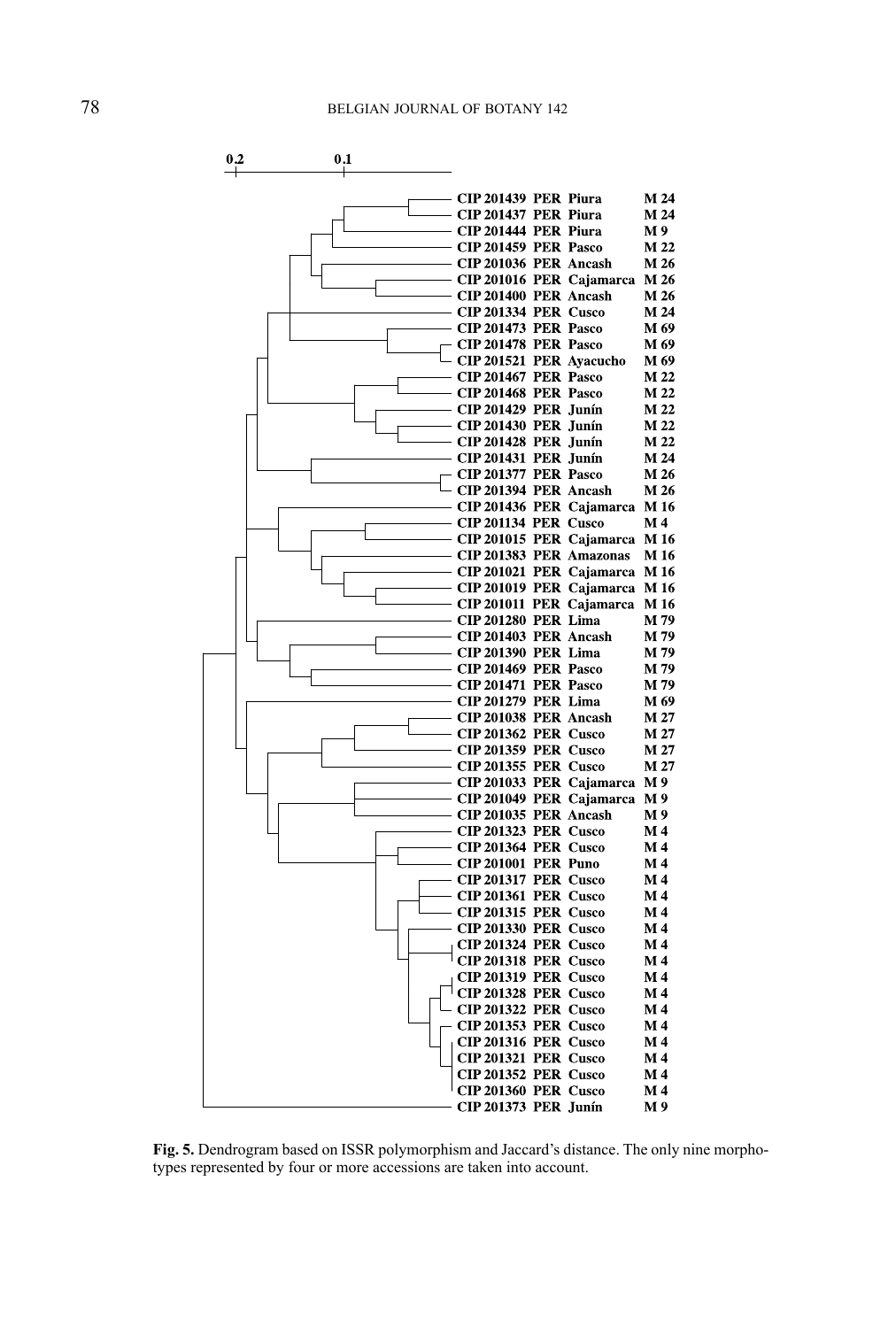

**Fig. 5.** Dendrogram based on ISSR polymorphism and Jaccard's distance. The only nine morphotypes represented by four or more accessions are taken into account.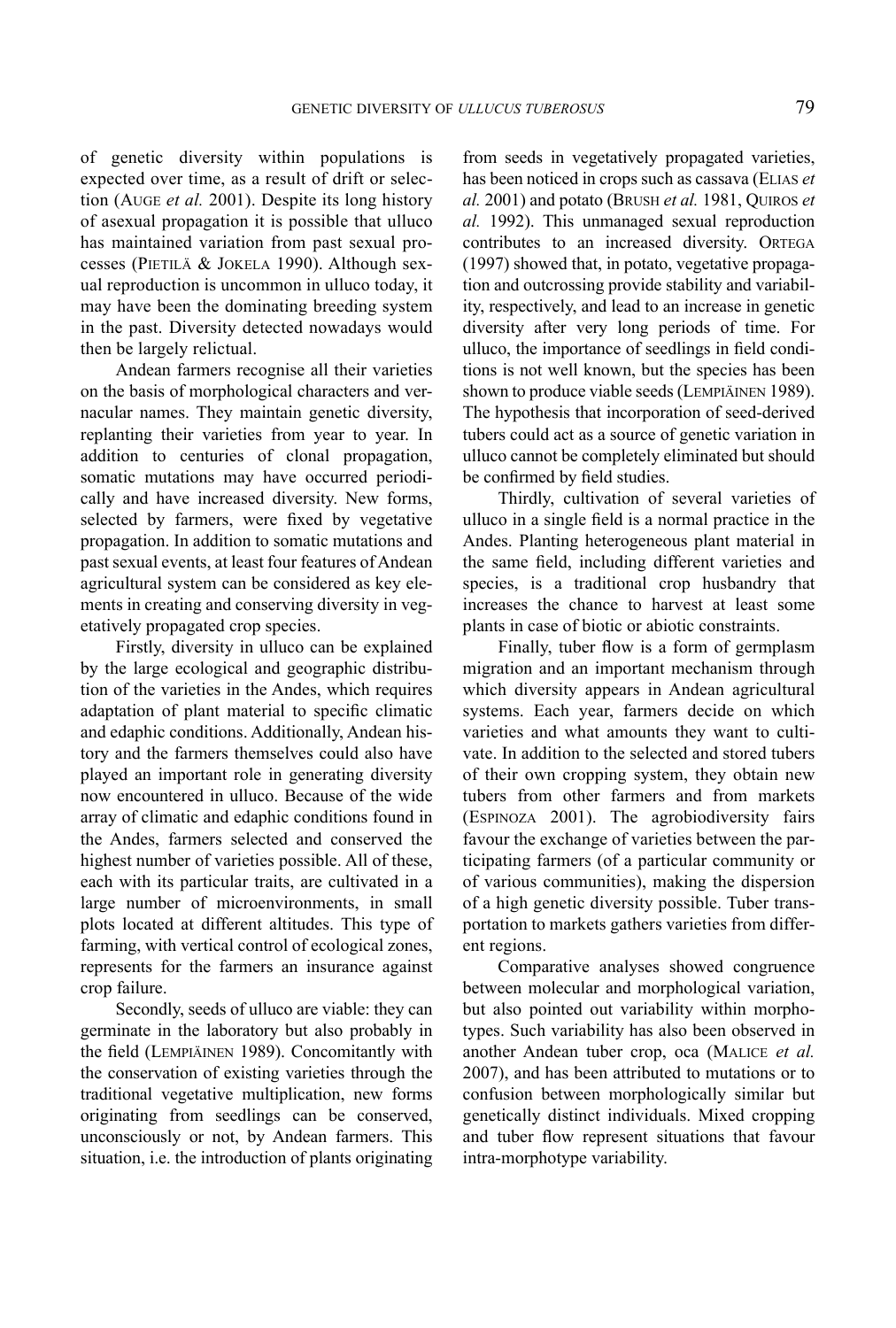of genetic diversity within populations is expected over time, as a result of drift or selection (Auge *et al.* 2001). Despite its long history of asexual propagation it is possible that ulluco has maintained variation from past sexual processes (PIETILÄ & JOKELA 1990). Although sexual reproduction is uncommon in ulluco today, it may have been the dominating breeding system in the past. Diversity detected nowadays would then be largely relictual.

Andean farmers recognise all their varieties on the basis of morphological characters and vernacular names. They maintain genetic diversity, replanting their varieties from year to year. In addition to centuries of clonal propagation, somatic mutations may have occurred periodically and have increased diversity. New forms, selected by farmers, were fixed by vegetative propagation. In addition to somatic mutations and past sexual events, at least four features of Andean agricultural system can be considered as key elements in creating and conserving diversity in vegetatively propagated crop species.

Firstly, diversity in ulluco can be explained by the large ecological and geographic distribution of the varieties in the Andes, which requires adaptation of plant material to specific climatic and edaphic conditions. Additionally, Andean history and the farmers themselves could also have played an important role in generating diversity now encountered in ulluco. Because of the wide array of climatic and edaphic conditions found in the Andes, farmers selected and conserved the highest number of varieties possible. All of these, each with its particular traits, are cultivated in a large number of microenvironments, in small plots located at different altitudes. This type of farming, with vertical control of ecological zones, represents for the farmers an insurance against crop failure.

Secondly, seeds of ulluco are viable: they can germinate in the laboratory but also probably in the field (Lempiäinen 1989). Concomitantly with the conservation of existing varieties through the traditional vegetative multiplication, new forms originating from seedlings can be conserved, unconsciously or not, by Andean farmers. This situation, i.e. the introduction of plants originating

from seeds in vegetatively propagated varieties, has been noticed in crops such as cassava (Elias *et al.* 2001) and potato (Brush *et al.* 1981, Quiros *et al.* 1992). This unmanaged sexual reproduction contributes to an increased diversity. ORTEGA (1997) showed that, in potato, vegetative propagation and outcrossing provide stability and variability, respectively, and lead to an increase in genetic diversity after very long periods of time. For ulluco, the importance of seedlings in field conditions is not well known, but the species has been shown to produce viable seeds (LEMPIÄINEN 1989). The hypothesis that incorporation of seed-derived tubers could act as a source of genetic variation in ulluco cannot be completely eliminated but should be confirmed by field studies.

Thirdly, cultivation of several varieties of ulluco in a single field is a normal practice in the Andes. Planting heterogeneous plant material in the same field, including different varieties and species, is a traditional crop husbandry that increases the chance to harvest at least some plants in case of biotic or abiotic constraints.

Finally, tuber flow is a form of germplasm migration and an important mechanism through which diversity appears in Andean agricultural systems. Each year, farmers decide on which varieties and what amounts they want to cultivate. In addition to the selected and stored tubers of their own cropping system, they obtain new tubers from other farmers and from markets (Espinoza 2001). The agrobiodiversity fairs favour the exchange of varieties between the participating farmers (of a particular community or of various communities), making the dispersion of a high genetic diversity possible. Tuber transportation to markets gathers varieties from different regions.

Comparative analyses showed congruence between molecular and morphological variation, but also pointed out variability within morphotypes. Such variability has also been observed in another Andean tuber crop, oca (Malice *et al.* 2007), and has been attributed to mutations or to confusion between morphologically similar but genetically distinct individuals. Mixed cropping and tuber flow represent situations that favour intra-morphotype variability.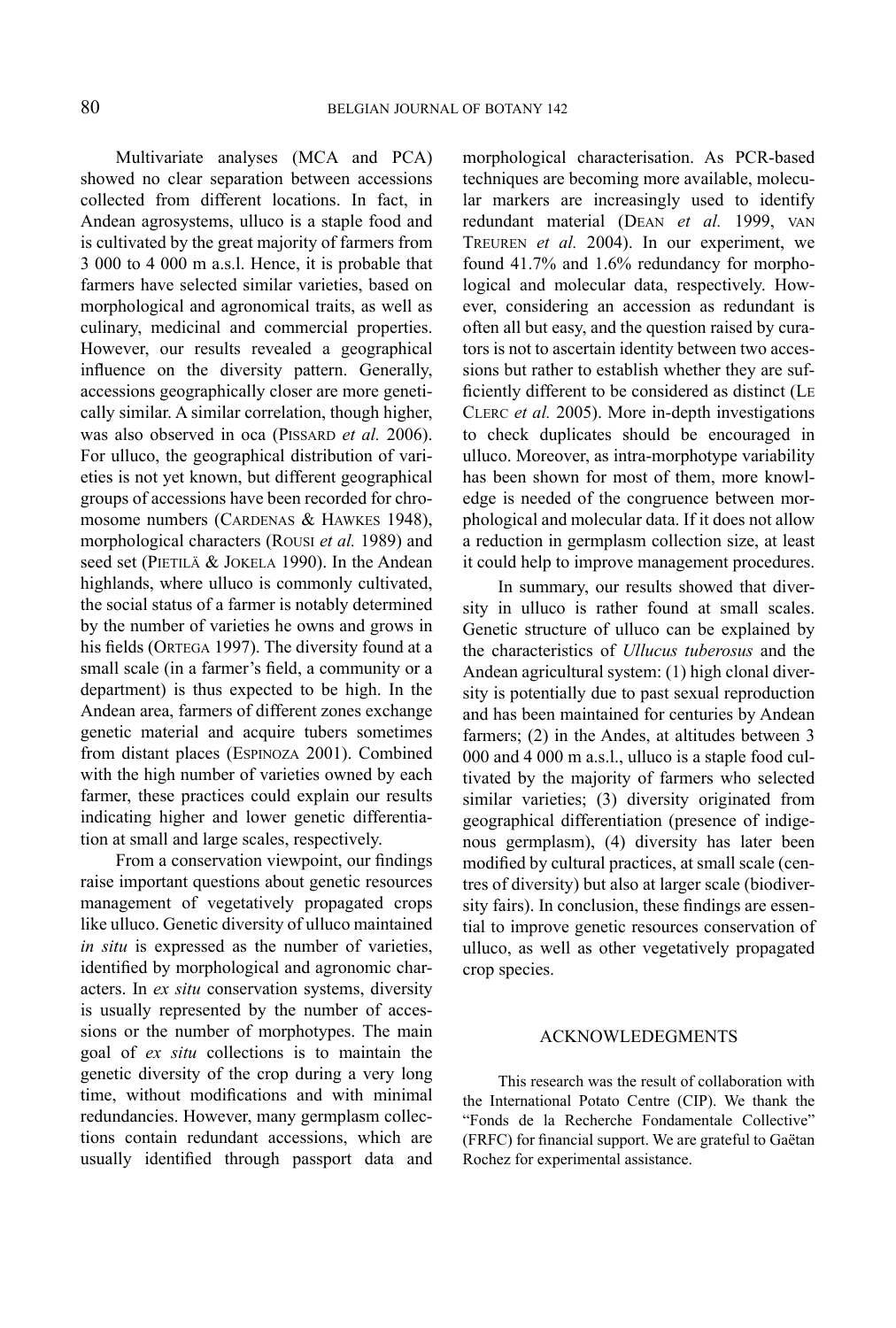Multivariate analyses (MCA and PCA) showed no clear separation between accessions collected from different locations. In fact, in Andean agrosystems, ulluco is a staple food and is cultivated by the great majority of farmers from 3 000 to 4 000 m a.s.l. Hence, it is probable that farmers have selected similar varieties, based on morphological and agronomical traits, as well as culinary, medicinal and commercial properties. However, our results revealed a geographical influence on the diversity pattern. Generally, accessions geographically closer are more genetically similar. A similar correlation, though higher, was also observed in oca (PISSARD *et al.* 2006). For ulluco, the geographical distribution of varieties is not yet known, but different geographical groups of accessions have been recorded for chromosome numbers (CARDENAS & HAWKES 1948), morphological characters (Rousi *et al.* 1989) and seed set (PIETILÄ & JOKELA 1990). In the Andean highlands, where ulluco is commonly cultivated, the social status of a farmer is notably determined by the number of varieties he owns and grows in his fields (ORTEGA 1997). The diversity found at a small scale (in a farmer's field, a community or a department) is thus expected to be high. In the Andean area, farmers of different zones exchange genetic material and acquire tubers sometimes from distant places (Espinoza 2001). Combined with the high number of varieties owned by each farmer, these practices could explain our results indicating higher and lower genetic differentiation at small and large scales, respectively.

From a conservation viewpoint, our findings raise important questions about genetic resources management of vegetatively propagated crops like ulluco. Genetic diversity of ulluco maintained *in situ* is expressed as the number of varieties, identified by morphological and agronomic characters. In *ex situ* conservation systems, diversity is usually represented by the number of accessions or the number of morphotypes. The main goal of *ex situ* collections is to maintain the genetic diversity of the crop during a very long time, without modifications and with minimal redundancies. However, many germplasm collections contain redundant accessions, which are usually identified through passport data and

morphological characterisation. As PCR-based techniques are becoming more available, molecular markers are increasingly used to identify redundant material (Dean *et al.* 1999, van Treuren *et al.* 2004). In our experiment, we found 41.7% and 1.6% redundancy for morphological and molecular data, respectively. However, considering an accession as redundant is often all but easy, and the question raised by curators is not to ascertain identity between two accessions but rather to establish whether they are sufficiently different to be considered as distinct (Le Clerc *et al.* 2005). More in-depth investigations to check duplicates should be encouraged in ulluco. Moreover, as intra-morphotype variability has been shown for most of them, more knowledge is needed of the congruence between morphological and molecular data. If it does not allow a reduction in germplasm collection size, at least it could help to improve management procedures.

In summary, our results showed that diversity in ulluco is rather found at small scales. Genetic structure of ulluco can be explained by the characteristics of *Ullucus tuberosus* and the Andean agricultural system: (1) high clonal diversity is potentially due to past sexual reproduction and has been maintained for centuries by Andean farmers; (2) in the Andes, at altitudes between 3 000 and 4 000 m a.s.l., ulluco is a staple food cultivated by the majority of farmers who selected similar varieties; (3) diversity originated from geographical differentiation (presence of indigenous germplasm), (4) diversity has later been modified by cultural practices, at small scale (centres of diversity) but also at larger scale (biodiversity fairs). In conclusion, these findings are essential to improve genetic resources conservation of ulluco, as well as other vegetatively propagated crop species.

#### ACKNOWLEDEGMENTS

This research was the result of collaboration with the International Potato Centre (CIP). We thank the "Fonds de la Recherche Fondamentale Collective" (FRFC) for financial support. We are grateful to Gaëtan Rochez for experimental assistance.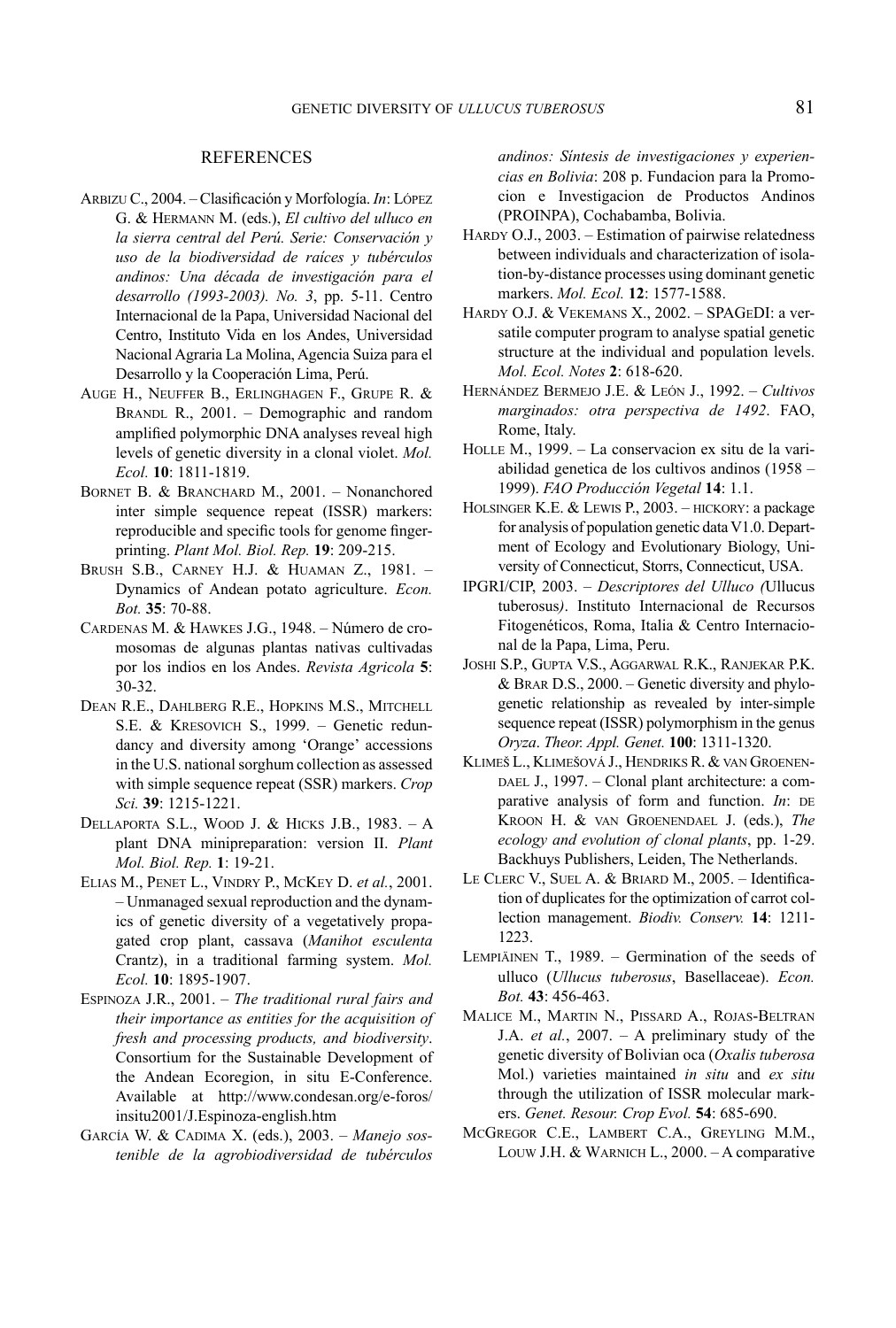#### REFERENCES

- Arbizu C., 2004. Clasificación y Morfología. *In*: López G. & Hermann M. (eds.), *El cultivo del ulluco en la sierra central del Perú. Serie: Conservación y uso de la biodiversidad de raíces y tubérculos andinos: Una década de investigación para el desarrollo (1993-2003). No. 3*, pp. 5-11. Centro Internacional de la Papa, Universidad Nacional del Centro, Instituto Vida en los Andes, Universidad Nacional Agraria La Molina, Agencia Suiza para el Desarrollo y la Cooperación Lima, Perú.
- Auge H., Neuffer B., Erlinghagen F., Grupe R. & BRANDL R., 2001. – Demographic and random amplified polymorphic DNA analyses reveal high levels of genetic diversity in a clonal violet. *Mol. Ecol.* **10**: 1811-1819.
- BORNET B. & BRANCHARD M., 2001. Nonanchored inter simple sequence repeat (ISSR) markers: reproducible and specific tools for genome fingerprinting. *Plant Mol. Biol. Rep.* **19**: 209-215.
- Brush S.B., Carney H.J. & Huaman Z., 1981. Dynamics of Andean potato agriculture. *Econ. Bot.* **35**: 70-88.
- Cardenas M. & Hawkes J.G., 1948. Número de cromosomas de algunas plantas nativas cultivadas por los indios en los Andes. *Revista Agricola* **5**: 30-32.
- Dean R.E., Dahlberg R.E., Hopkins M.S., Mitchell S.E. & Kresovich S., 1999. – Genetic redundancy and diversity among 'Orange' accessions in the U.S. national sorghum collection as assessed with simple sequence repeat (SSR) markers. *Crop Sci.* **39**: 1215-1221.
- Dellaporta S.L., Wood J. & Hicks J.B., 1983. A plant DNA minipreparation: version II. *Plant Mol. Biol. Rep.* **1**: 19-21.
- Elias M., Penet L., Vindry P., McKey D. *et al.*, 2001. – Unmanaged sexual reproduction and the dynamics of genetic diversity of a vegetatively propagated crop plant, cassava (*Manihot esculenta* Crantz), in a traditional farming system. *Mol. Ecol.* **10**: 1895-1907.
- Espinoza J.R., 2001. *The traditional rural fairs and their importance as entities for the acquisition of fresh and processing products, and biodiversity*. Consortium for the Sustainable Development of the Andean Ecoregion, in situ E-Conference. Available at http://www.condesan.org/e-foros/ insitu2001/J.Espinoza-english.htm
- García W. & Cadima X. (eds.), 2003. *Manejo sostenible de la agrobiodiversidad de tubérculos*

*andinos: Síntesis de investigaciones y experiencias en Bolivia*: 208 p. Fundacion para la Promocion e Investigacion de Productos Andinos (PROINPA), Cochabamba, Bolivia.

- HARDY O.J., 2003. Estimation of pairwise relatedness between individuals and characterization of isolation-by-distance processes using dominant genetic markers. *Mol. Ecol.* **12**: 1577-1588.
- Hardy O.J. & Vekemans X., 2002. SPAGeDI: a versatile computer program to analyse spatial genetic structure at the individual and population levels. *Mol. Ecol. Notes* **2**: 618-620.
- Hernández Bermejo J.E. & León J., 1992. *Cultivos marginados: otra perspectiva de 1492*. FAO, Rome, Italy.
- Holle M., 1999. La conservacion ex situ de la variabilidad genetica de los cultivos andinos (1958 – 1999). *FAO Producción Vegetal* **14**: 1.1.
- Holsinger K.E. & Lewis P., 2003. hickory: a package for analysis of population genetic data V1.0. Department of Ecology and Evolutionary Biology, University of Connecticut, Storrs, Connecticut, USA.
- IPGRI/CIP, 2003. *Descriptores del Ulluco (*Ullucus tuberosus*)*. Instituto Internacional de Recursos Fitogenéticos, Roma, Italia & Centro Internacional de la Papa, Lima, Peru.
- Joshi S.P., Gupta V.S., Aggarwal R.K., Ranjekar P.K. & Brar D.S., 2000. – Genetic diversity and phylogenetic relationship as revealed by inter-simple sequence repeat (ISSR) polymorphism in the genus *Oryza*. *Theor. Appl. Genet.* **100**: 1311-1320.
- Klimes L., Klimesová J., Hendriks R. & van Groenen-DAEL J., 1997. – Clonal plant architecture: a comparative analysis of form and function. *In*: DE Kroon H. & van Groenendael J. (eds.), *The ecology and evolution of clonal plants*, pp. 1-29. Backhuys Publishers, Leiden, The Netherlands.
- Le Clerc V., Suel A. & Briard M., 2005. Identification of duplicates for the optimization of carrot collection management. *Biodiv. Conserv.* **14**: 1211- 1223.
- Lempiäinen T., 1989. Germination of the seeds of ulluco (*Ullucus tuberosus*, Basellaceae). *Econ. Bot.* **43**: 456-463.
- Malice M., Martin N., Pissard A., Rojas-Beltran J.A. *et al.*, 2007. – A preliminary study of the genetic diversity of Bolivian oca (*Oxalis tuberosa* Mol.) varieties maintained *in situ* and *ex situ* through the utilization of ISSR molecular markers. *Genet. Resour. Crop Evol.* **54**: 685-690.
- McGregor C.E., Lambert C.A., Greyling M.M., Louw J.H. & Warnich L., 2000. – A comparative